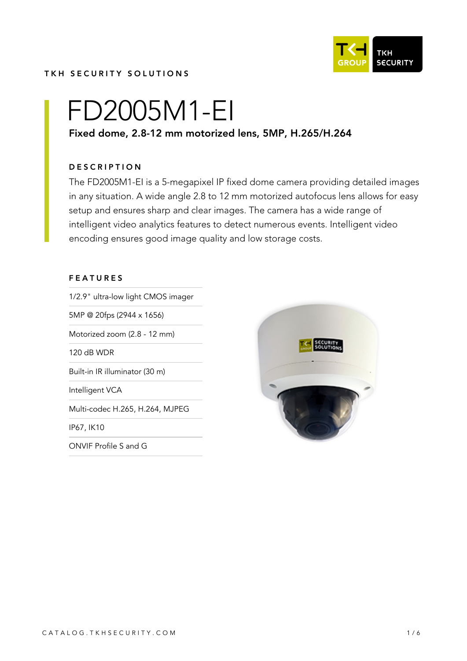

#### TKH SECURITY SOLUTIONS

# FD2005M1-EI

# Fixed dome, 2.8-12 mm motorized lens, 5MP, H.265/H.264

#### **DESCRIPTION**

The FD2005M1-EI is a 5-megapixel IP fixed dome camera providing detailed images in any situation. A wide angle 2.8 to 12 mm motorized autofocus lens allows for easy setup and ensures sharp and clear images. The camera has a wide range of intelligent video analytics features to detect numerous events. Intelligent video encoding ensures good image quality and low storage costs.

#### FEATURES

1/2.9" ultra-low light CMOS imager

5MP @ 20fps (2944 x 1656)

Motorized zoom (2.8 - 12 mm)

120 dB WDR

Built-in IR illuminator (30 m)

Intelligent VCA

Multi-codec H.265, H.264, MJPEG

IP67, IK10

ONVIF Profile S and G

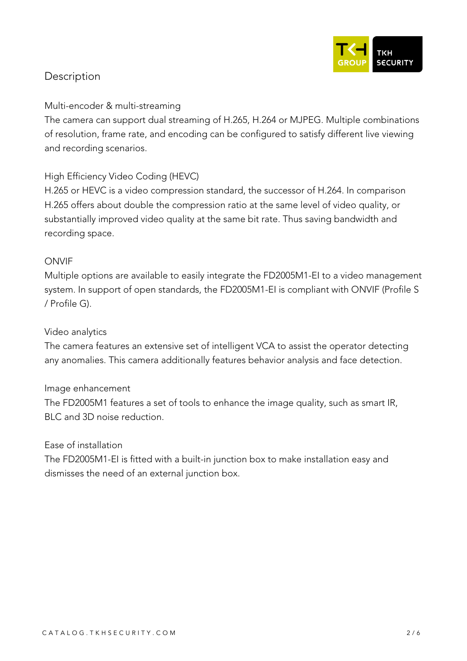

# **Description**

### **Multi-encoder & multi-streaming**

The camera can support dual streaming of H.265, H.264 or MJPEG. Multiple combinations of resolution, frame rate, and encoding can be configured to satisfy different live viewing and recording scenarios.

# **High Efficiency Video Coding (HEVC)**

H.265 or HEVC is a video compression standard, the successor of H.264. In comparison H.265 offers about double the compression ratio at the same level of video quality, or substantially improved video quality at the same bit rate. Thus saving bandwidth and recording space.

# **ONVIF**

Multiple options are available to easily integrate the FD2005M1-EI to a video management system. In support of open standards, the FD2005M1-EI is compliant with ONVIF (Profile S / Profile G).

#### **Video analytics**

The camera features an extensive set of intelligent VCA to assist the operator detecting any anomalies. This camera additionally features behavior analysis and face detection.

#### **Image enhancement**

The FD2005M1 features a set of tools to enhance the image quality, such as smart IR, BLC and 3D noise reduction.

#### **Ease of installation**

The FD2005M1-EI is fitted with a built-in junction box to make installation easy and dismisses the need of an external junction box.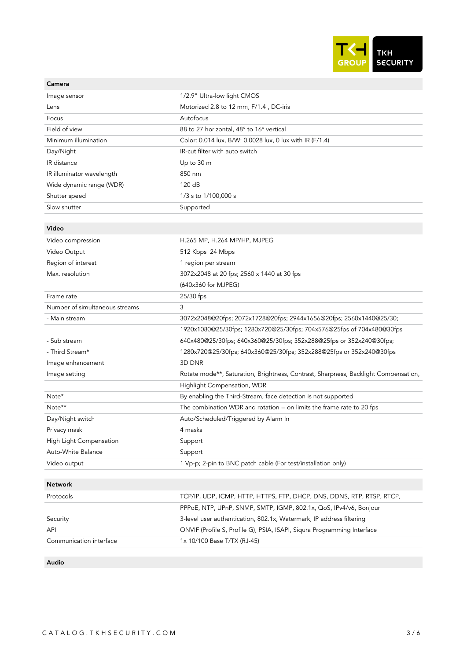

| Image sensor                   | 1/2.9" Ultra-low light CMOS                                                         |
|--------------------------------|-------------------------------------------------------------------------------------|
| Lens                           | Motorized 2.8 to 12 mm, F/1.4, DC-iris                                              |
| Focus                          | Autofocus                                                                           |
| Field of view                  | 88 to 27 horizontal, 48° to 16° vertical                                            |
| Minimum illumination           | Color: 0.014 lux, B/W: 0.0028 lux, 0 lux with IR (F/1.4)                            |
| Day/Night                      | IR-cut filter with auto switch                                                      |
| IR distance                    | Up to 30 m                                                                          |
| IR illuminator wavelength      | 850 nm                                                                              |
| Wide dynamic range (WDR)       | 120 dB                                                                              |
| Shutter speed                  | 1/3 s to 1/100,000 s                                                                |
| Slow shutter                   | Supported                                                                           |
|                                |                                                                                     |
| Video                          |                                                                                     |
| Video compression              | H.265 MP, H.264 MP/HP, MJPEG                                                        |
| Video Output                   | 512 Kbps 24 Mbps                                                                    |
| Region of interest             | 1 region per stream                                                                 |
| Max. resolution                | 3072x2048 at 20 fps; 2560 x 1440 at 30 fps                                          |
|                                | (640x360 for MJPEG)                                                                 |
| Frame rate                     | 25/30 fps                                                                           |
| Number of simultaneous streams | 3                                                                                   |
| - Main stream                  | 3072x2048@20fps; 2072x1728@20fps; 2944x1656@20fps; 2560x1440@25/30;                 |
|                                | 1920x1080@25/30fps; 1280x720@25/30fps; 704x576@25fps of 704x480@30fps               |
| - Sub stream                   | 640x480@25/30fps; 640x360@25/30fps; 352x288@25fps or 352x240@30fps;                 |
| - Third Stream*                | 1280x720@25/30fps; 640x360@25/30fps; 352x288@25fps or 352x240@30fps                 |
| Image enhancement              | 3D DNR                                                                              |
| Image setting                  | Rotate mode**, Saturation, Brightness, Contrast, Sharpness, Backlight Compensation, |
|                                | Highlight Compensation, WDR                                                         |
| Note*                          | By enabling the Third-Stream, face detection is not supported                       |
| Note**                         | The combination WDR and rotation $=$ on limits the frame rate to 20 fps             |
| Day/Night switch               | Auto/Scheduled/Triggered by Alarm In                                                |
| Privacy mask                   | 4 masks                                                                             |
| High Light Compensation        | Support                                                                             |
| Auto-White Balance             | Support                                                                             |
| Video output                   | 1 Vp-p; 2-pin to BNC patch cable (For test/installation only)                       |
| <b>Network</b>                 |                                                                                     |
| Protocols                      | TCP/IP, UDP, ICMP, HTTP, HTTPS, FTP, DHCP, DNS, DDNS, RTP, RTSP, RTCP,              |
|                                | PPPoE, NTP, UPnP, SNMP, SMTP, IGMP, 802.1x, QoS, IPv4/v6, Bonjour                   |
| Security                       | 3-level user authentication, 802.1x, Watermark, IP address filtering                |
| API                            | ONVIF (Profile S, Profile G), PSIA, ISAPI, Siqura Programming Interface             |
| Communication interface        | 1x 10/100 Base T/TX (RJ-45)                                                         |
|                                |                                                                                     |
| Audio                          |                                                                                     |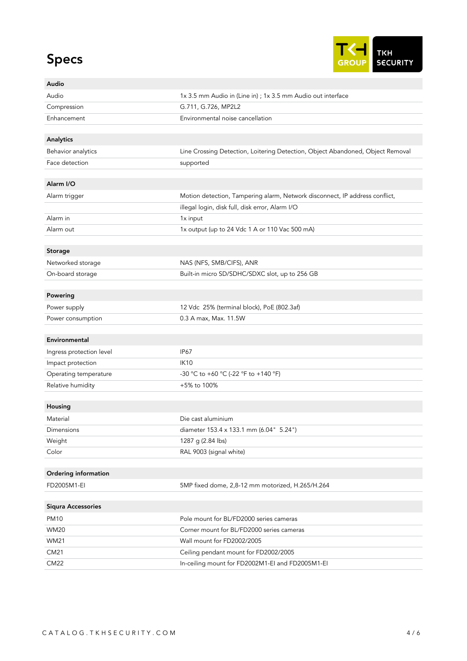# Specs



| Audio                     |                                                                                |
|---------------------------|--------------------------------------------------------------------------------|
| Audio                     | 1x 3.5 mm Audio in (Line in) ; 1x 3.5 mm Audio out interface                   |
| Compression               | G.711, G.726, MP2L2                                                            |
| Enhancement               | Environmental noise cancellation                                               |
|                           |                                                                                |
| Analytics                 |                                                                                |
| Behavior analytics        | Line Crossing Detection, Loitering Detection, Object Abandoned, Object Removal |
| Face detection            | supported                                                                      |
|                           |                                                                                |
| Alarm I/O                 |                                                                                |
| Alarm trigger             | Motion detection, Tampering alarm, Network disconnect, IP address conflict,    |
|                           | illegal login, disk full, disk error, Alarm I/O                                |
| Alarm in                  | 1x input                                                                       |
| Alarm out                 | 1x output (up to 24 Vdc 1 A or 110 Vac 500 mA)                                 |
|                           |                                                                                |
| Storage                   |                                                                                |
| Networked storage         | NAS (NFS, SMB/CIFS), ANR                                                       |
| On-board storage          | Built-in micro SD/SDHC/SDXC slot, up to 256 GB                                 |
|                           |                                                                                |
| Powering                  |                                                                                |
| Power supply              | 12 Vdc 25% (terminal block), PoE (802.3af)                                     |
| Power consumption         | 0.3 A max, Max. 11.5W                                                          |
| Environmental             |                                                                                |
| Ingress protection level  | <b>IP67</b>                                                                    |
| Impact protection         | <b>IK10</b>                                                                    |
| Operating temperature     | -30 °C to +60 °C (-22 °F to +140 °F)                                           |
| Relative humidity         | +5% to 100%                                                                    |
|                           |                                                                                |
| Housing                   |                                                                                |
| Material                  | Die cast aluminium                                                             |
| Dimensions                | diameter 153.4 x 133.1 mm (6.04" 5.24")                                        |
| Weight                    | 1287 g (2.84 lbs)                                                              |
| Color                     | RAL 9003 (signal white)                                                        |
|                           |                                                                                |
| Ordering information      |                                                                                |
| FD2005M1-EI               | 5MP fixed dome, 2,8-12 mm motorized, H.265/H.264                               |
|                           |                                                                                |
| <b>Siqura Accessories</b> |                                                                                |
| <b>PM10</b>               | Pole mount for BL/FD2000 series cameras                                        |
| <b>WM20</b>               | Corner mount for BL/FD2000 series cameras                                      |
| <b>WM21</b>               | Wall mount for FD2002/2005                                                     |
| CM21                      | Ceiling pendant mount for FD2002/2005                                          |
| CM22                      | In-ceiling mount for FD2002M1-EI and FD2005M1-EI                               |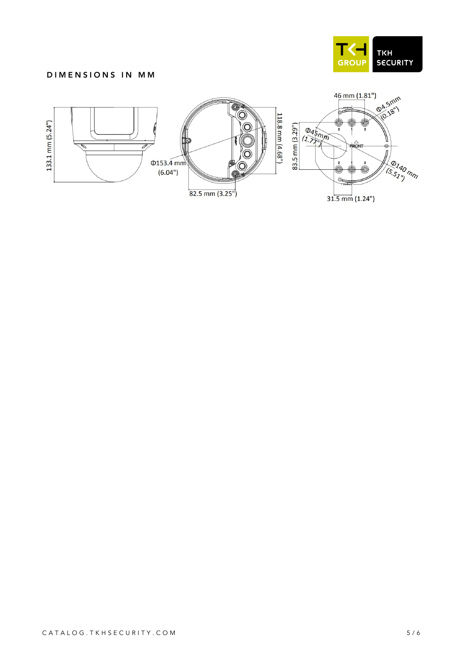

#### DIMENSIONS IN MM